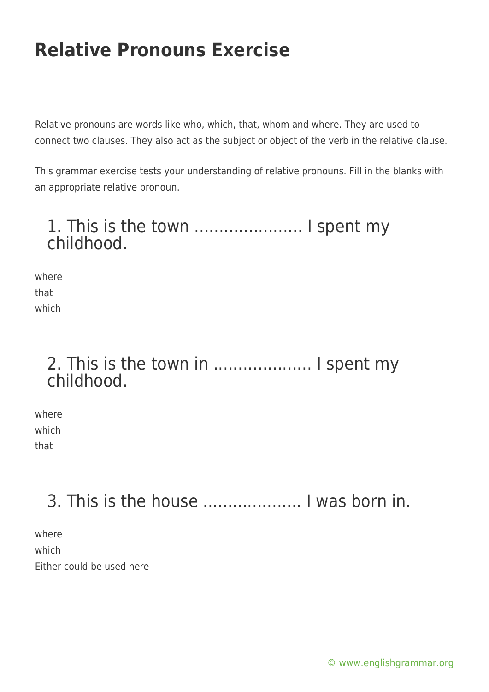Relative pronouns are words like who, which, that, whom and where. They are used to connect two clauses. They also act as the subject or object of the verb in the relative clause.

This grammar exercise tests your understanding of relative pronouns. Fill in the blanks with an appropriate relative pronoun.

### 1. This is the town ...................... I spent my childhood.

where that which

### 2. This is the town in .................... I spent my childhood.

where which that

## 3. This is the house .................... I was born in.

where which Either could be used here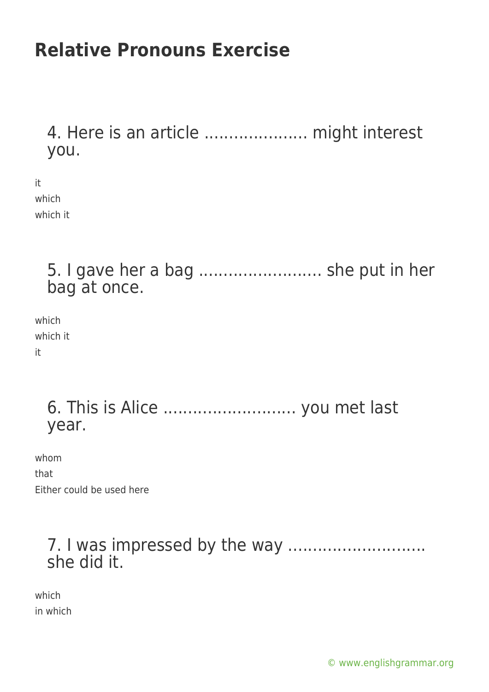4. Here is an article ..................... might interest you.

it which which it

> 5. I gave her a bag ......................... she put in her bag at once.

which which it it

> 6. This is Alice ........................... you met last year.

whom that Either could be used here

### 7. I was impressed by the way ............................ she did it.

which in which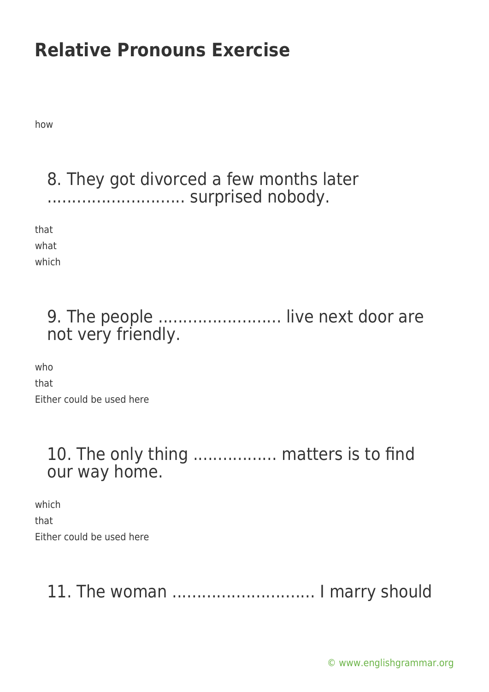how

#### 8. They got divorced a few months later ............................ surprised nobody.

that

what which

### 9. The people ......................... live next door are not very friendly.

who that Either could be used here

### 10. The only thing ................. matters is to find our way home.

which that Either could be used here

## 11. The woman ............................. I marry should